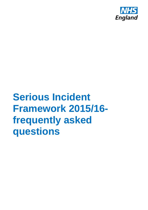

# **Serious Incident Framework 2015/16 frequently asked questions**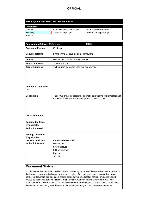#### **NHS England INFORMATION READER BOX**

| Medical | <b>Commissioning Operations</b> | Patients and Information      |
|---------|---------------------------------|-------------------------------|
| Nursing | Trans. & Corp. Ops.             | <b>Commissioning Strategy</b> |
| Finance |                                 |                               |

| uplications outeway includedness.<br><b>Document Purpose</b> | Guidance                                                             |
|--------------------------------------------------------------|----------------------------------------------------------------------|
|                                                              |                                                                      |
| <b>Document Name</b>                                         | FAQs on the Serious Incident Framework                               |
| <b>Author</b>                                                | NHS England Patient Safety Domain                                    |
| <b>Publication Date</b>                                      | 27 March 2015                                                        |
| <b>Target Audience</b>                                       | To be published on the NHS England website                           |
|                                                              |                                                                      |
|                                                              |                                                                      |
|                                                              |                                                                      |
|                                                              |                                                                      |
| <b>Additional Circulation</b>                                |                                                                      |
| List                                                         |                                                                      |
| <b>Description</b>                                           | The FAQs provide supporting information around the implementation of |
|                                                              | the Serious Incident Framework published March 2015.                 |
|                                                              |                                                                      |
|                                                              |                                                                      |
|                                                              |                                                                      |
| <b>Cross Reference</b>                                       |                                                                      |
|                                                              |                                                                      |
| <b>Superseded Docs</b>                                       |                                                                      |
| (if applicable)                                              |                                                                      |
| <b>Action Required</b>                                       |                                                                      |
| <b>Timing / Deadlines</b>                                    |                                                                      |
| (if applicable)                                              |                                                                      |
| <b>Contact Details for</b>                                   | Patient Safety Domain                                                |
| further information                                          | NHS England                                                          |
|                                                              | <b>Skipton House</b><br>80 London Road                               |
|                                                              | London                                                               |
|                                                              | SE16LH                                                               |
|                                                              |                                                                      |
|                                                              |                                                                      |

### **Document Status**

This is a controlled document. Whilst this document may be printed, the electronic version posted on the intranet is the controlled copy. Any printed copies of this document are not controlled. As a controlled document, this document should not be saved onto local or network drives but should always be accessed from the intranet. **NB:** The NHS Commissioning Board (NHS CB) was established on 1 October 2012 as an executive non-departmental public body. Since 1 April 2013, the NHS Commissioning Board has used the name NHS England for operational purposes.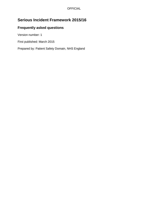# **Serious Incident Framework 2015/16**

## **Frequently asked questions**

Version number: 1

First published: March 2015

Prepared by: Patient Safety Domain, NHS England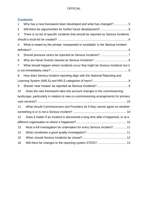## **Contents**

| 1  | Why has a new framework been developed and what has changed? 5                       |
|----|--------------------------------------------------------------------------------------|
| 2  |                                                                                      |
| 3  | There is no list of specific incidents that should be reported as Serious Incidents, |
|    |                                                                                      |
| 4  | What is meant by the phrase 'unexpected or avoidable' in the Serious Incident        |
|    |                                                                                      |
| 5  |                                                                                      |
| 6  |                                                                                      |
| 7  | What should happen where incidents occur that might be Serious Incidents but it      |
|    |                                                                                      |
| 8  | How does Serious Incident reporting align with the National Reporting and            |
|    |                                                                                      |
| 9  |                                                                                      |
| 10 | Does the new framework take into account changes in the commissioning                |
|    | landscape, particularly in relation to new co-commissioning arrangements for primary |
|    |                                                                                      |
| 11 | What should Commissioners and Providers do if they cannot agree on whether           |
|    |                                                                                      |
| 12 | Does it matter if an incident is discovered a long time after it happened, or at a   |
|    |                                                                                      |
| 13 | Must a full investigation be undertaken for every Serious Incident?  11              |
| 14 |                                                                                      |
| 15 |                                                                                      |
| 16 | Will there be changes to the reporting system STEIS? 12                              |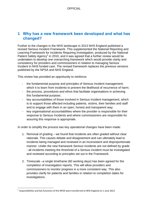# <span id="page-4-0"></span>**1 Why has a new framework been developed and what has changed?**

Further to the changes in the NHS landscape in 2013 NHS England published a revised Serious Incident Framework. This supplemented the National Reporting and Learning Framework for Incidents Requiring Investigation, produced by the National Patient Safety Agency<sup>1</sup> in 2010, and it was agreed that a further review would be undertaken to develop one overarching framework which would provide clarity and consistency for providers and commissioners in relation to managing Serious Incident in NHS funded care. The revised framework replaces the previous versions published by the NPSA and NHS England.

This review has provided an opportunity to reinforce;

- the fundamental purpose and principles of Serious Incident management, which it to learn from incidents to prevent the likelihood of recurrence of harm;
- the process, procedures and ethos that facilitate organisations in achieving this fundamental purpose;
- key accountabilities of those involved in Serious Incident management, which is to support those affected including patients, victims, their families and staff and to engage with them in an open, honest and transparent way;
- key organisational accountabilities where the provider is responsible for their response to Serious Incidents and where commissioners are responsible for assuring this response is appropriate.

In order to simplify the process two key operational changes have been made:

- 1. Removal of grading we found that incidents are often graded without clear rationale. This causes debate and disagreement and can ultimately lead to incidents being managed and reviewed in an inconsistent and disproportionate manner. Under the new framework Serious Incidents are not defined by grade - all incidents meeting the threshold of a Serious Incident must be investigated and reviewed according to principles set out in the Framework.
- 2. Timescale –a single timeframe (60 working days) has been agreed for the completion of investigation reports. This will allow providers and commissioners to monitor progress in a more consistent way. This also provides clarify for patients and families in relation to completion dates for investigations.

 1 responsibilities and key functions of the NPSA were transferred to NHS England on 1 June 2012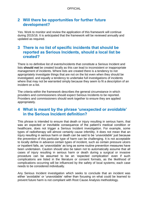# <span id="page-5-0"></span>**2 Will there be opportunities for further future development?**

Yes. Work to monitor and review the application of this framework will continue during 2015/16. It is anticipated that the framework will be reviewed annually and updated as required.

# <span id="page-5-1"></span>**3 There is no list of specific incidents that should be reported as Serious Incidents, should a local list be created?**

There is no definitive list of events/incidents that constitute a Serious Incident and lists **should not** be created locally as this can lead to inconsistent or inappropriate management of incidents. Where lists are created there is a tendency to not appropriately investigate things that are not on the list even when they should be investigated, and equally a tendency to undertake full investigations of incidents where that may not be warranted simply because they seem to fit a description of an incident on a list.

The criteria within the framework describes the general circumstance in which providers and commissioners should expect Serious Incidents to be reported. Providers and commissioners should work together to ensure they are applied appropriately.

## <span id="page-5-2"></span>**4 What is meant by the phrase 'unexpected or avoidable' in the Serious Incident definition?**

This phrase is intended to ensure that death or injury resulting in serious harm, that was an expected or inevitable consequence of the patient's medical condition or healthcare, does not trigger a Serious Incident investigation. For example, some types of radiotherapy will almost certainly cause infertility. It does not mean that an injury resulting in serious harm or death can be said to be '*unavoidable*' just because the prevention of this particular type of harm can be challenging. It is not acceptable to locally define in advance certain types of incident, such as certain pressure ulcers or inpatient falls, as 'unavoidable' as long as some routine prevention measures have been undertaken. Caution should also be taken not to automatically assume that all cases of injury resulting in serious harm or death during a surgical or invasive procedure can be assumed to be an 'expected complication' even if such complications are listed in the literature or consent formats, as the likelihood of complications occurring will be influenced by the safety of local systems; each case needs to be considered individually.

Any Serious Incident investigation which seeks to conclude that an incident was either 'avoidable' or 'unavoidable' rather than focusing on what could be learned to prevent future harm is not compliant with Root Cause Analysis methodology.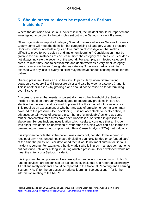# <span id="page-6-0"></span>**5 Should pressure ulcers be reported as Serious Incidents?**

Where the definition of a Serious Incident is met, the incident should be reported and investigated according to the principles set out in the Serious Incident Framework.

Often organisations report all category 3 and 4 pressure ulcers as Serious Incidents. Clearly some will meet the definition but categorising all category 3 and 4 pressure ulcers as Serious Incidents may lead to a 'burden of investigation that makes it difficult to move forward quickly and implement learning'<sup>2</sup>. Consideration must be given to the circumstances of each case since the category of a pressure ulcer does not always indicate the severity of the wound. For example, an infected category 2 pressure ulcer may lead to septicaemia and death whereas a very small category 3 pressure ulcer on the ear (designated as category 3 because cartilage will be exposed with any loss of overlying skin) may not have serious consequences for the patient.

Grading pressure ulcers can also be difficult, particularly when differentiating between a category 2 and 3 pressure ulcer and also between a category 3 and 4. This is another reason why grading alone should not be relied on for determining overall severity.

Any pressure ulcer that meets, or potentially meets, the threshold of a Serious Incident should be thoroughly investigated to ensure any problems in care are identified, understood and resolved to prevent the likelihood of future recurrence. This requires an assessment of whether any acts of omission or commission may have led to the pressure ulcer developing. It is not acceptable to locally define, in advance, certain types of pressure ulcer that are 'unavoidable' as long as some routine preventative measures have been undertaken. As stated in questions 4 above any Serious Incident investigation which seeks to conclude that an incident was either 'avoidable' or 'unavoidable' rather than focusing what could be learned to prevent future harm is not compliant with Root Cause Analysis (RCA) methodology.

It is important to note that if the patient was clearly not, nor should have been, in receipt of any NHS funded healthcare (including part NHS-funded or co-funded care) at the time the pressure ulcer developed then it would not meet criteria for Serious Incident reporting. For example, a healthy adult who is injured in an accident at home but not found until after a 'long lie' during which a pressure ulcer developed would not meet the criteria of a Serious Incident.

It is important that all pressure ulcers, except in people who were unknown to NHS funded services, are recognised as patient safety incidents and reported accordingly. All patient safety incidents should be reported to the National Reporting and Learning System (NRLS) for the purposes of national learning. See questions 7 for further information relating to the NRLS.

<sup>&</sup>lt;sup>2</sup> Tissue Viability Society, 2012, Achieving Consensus in Pressure Ulcer Reporting. Available online at: <http://tvs.org.uk/wp-content/uploads/2013/05/TVSConsensusPUReporting.pdf>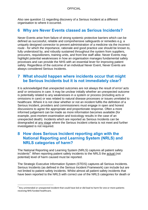Also see question 11 regarding discovery of a Serious Incident at a different organisation to where it occurred.

# <span id="page-7-0"></span>**6 Why are Never Events classed as Serious Incidents?**

Never Events arise from failure of strong systemic protective barriers which can be defined as successful, reliable and comprehensive safeguards or remedies e.g. a uniquely designed connector to prevent administration of a medicine via the incorrect route - for which the importance, rationale and good practice use should be known to, fully understood by, and robustly sustained throughout the system from suppliers, procurers, requisitioners, training units, and front line staff alike. Never Events may highlight potential weaknesses in how an organisation manages fundamental safety processes and can provide the NHS with an essential lever for improving patient safety. Regardless of the outcome of an individual Never Event, Never Events are always considered Serious Incidents.

## <span id="page-7-1"></span>**7 What should happen where incidents occur that might be Serious Incidents but it is not immediately clear?**

It is acknowledged that unexpected outcomes are not always the result of error/ acts and/ or omissions in care. It may be unclear initially whether an unexpected outcome is potentially related to any weaknesses in a system or process (including acts or omissions in care) or was related to natural disease processes or issues unrelated to healthcare. Where it is not clear whether or not an incident fulfils the definition of a Serious Incident, providers and commissioners must engage in open and honest discussions to agree the appropriate and proportionate response. Often a more informed judgement can be made as more information becomes available (for example, post-mortem examination and toxicology results in the case of an unexpected death). Incidents which are reported as Serious Incidents can be downgraded at any stage where the Serious Incident criteria is not meet and further investigated is not required.

# <span id="page-7-2"></span>**8 How does Serious Incident reporting align with the National Reporting and Learning System (NRLS) and NRLS categories of harm?**

The National Reporting and Learning System (NRLS) captures all patient safety incidents<sup>3</sup>. When reporting patient safety incidents to the NRLS the actual (not potential) level of harm caused must be reported.

The Strategic Executive Information System (STEIS) captures all Serious Incidents. Serious Incidents (as defined in the Serious Incident Framework) can include but are not limited to patient safety incidents. Whilst almost all patient safety incidents that have been reported to the NRLS with correct use of the NRLS categories for death or

 $3$  Any unintended or unexpected incident that could have led or did lead to harm for one or more patients receiving NHS-funded healthcare.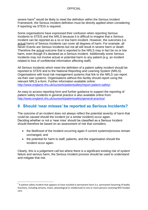severe harm<sup>4</sup> would be likely to meet the definition within the Serious Incident Framework, the Serious Incident definition must be directly applied when considering if reporting via STEIS is required.

Some organisations have expressed their confusion when reporting Serious Incidents to STEIS and the NRLS because it is difficult to imagine that a Serious Incident can be reported as a no or low harm incident. However, the outcomes (i.e. actual harm) of Serious Incidents can cover all degrees of harm. For example, all Never Events are Serious Incidents but not all will result in severe harm or death. Therefore the **actual** outcome that is reported to the NRLS may in fact be no or low harm, even though it's declared as a Serious Incident. Additionally some Serious Incidents may not involve actual or potential harm to any patient (e.g. an incident related to loss of confidential information affecting staff).

All Serious Incidents which meet the definition of a patient safety incident should be reported to STEIS and to the National Reporting and Learning System (NRLS). Organisations with local risk management systems that link to the NRLS can report via their own systems. Organisations without this facility should report using the relevant NRLS e-form. Further information available online: <http://www.england.nhs.uk/ourwork/patientsafety/report-patient-safety/>

An easy to access reporting form and further guidance to support the reporting of patient safety incidents in general practice is also available online from: <http://www.england.nhs.uk/ourwork/patientsafety/general-practice/>

# <span id="page-8-0"></span>**9 Should 'near misses' be reported as Serious Incidents?**

The outcome of an incident does not always reflect the potential severity of harm that could be caused should the incident (or a similar incident) occur again. Deciding whether or not a 'near miss' should be classified as a Serious Incident should therefore be based on an assessment of risk that considers;

- the likelihood of the incident occurring again if current systems/process remain unchanged; and
- the potential for harm to staff, patients, and the organisation should the incident occur again.

Clearly, this is a judgement call but where there is a significant existing risk of system failure and serious harm, the Serious Incident process should be used to understand and mitigate that risk.

 $^4$  A patient safety incident that appears to have resulted in permanent harm (i.e. permanent lessening of bodily functions, including sensory, motor, physiological or intellectual) to one or more persons receiving NHS-funded care.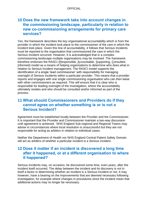# <span id="page-9-0"></span>**10 Does the new framework take into account changes in the commissioning landscape, particularly in relation to new co-commissioning arrangements for primary care services?**

Yes, the framework describes the key organisational accountability which is from the provider in which the incident took place to the commissioner of the care in which the incident took place. Given this line of accountability, it follows that Serious Incidents must be reported to the organisation that commissioned the care in which the Serious Incident occurred. However, it is acknowledged that in a complex commissioning landscape multiple organisations may be involved. The framework therefore endorses the RASCI (Responsible, Accountable, Supporting, Consulted, Informed) model as a means of helping organisations to determine who does what in relation to Serious Incident management. The RASCI model supports the identification of a single 'lead commissioner' with responsibility for managing oversight of Serious Incidents within a particular provider. This means that a provider reports and engages with one single commissioning organisation who can then liaise with other commissioners as required. This will ensure that it is clear who is responsible for leading oversight of the investigation, where the accountability ultimately resides and who should be consulted and/or informed as part of the process.

# <span id="page-9-1"></span>**11 What should Commissioners and Providers do if they cannot agree on whether something is or is not a Serious Incident?**

Agreement must be established locally between the Provider and the Commissioner. It is important that the Provider and Commissioner maintain a two-way discussion until agreement is achieved. NHS England Sub-regional and Regional Teams may advise in circumstances where local resolution is unsuccessful but they are not responsible for acting as arbiters in relation to individual cases.

Neither the Department of Health nor NHS England Central Patient Safety Domain will act as arbiters of whether a particular incident is a Serious Incident.

# <span id="page-9-2"></span>**12 Does it matter if an incident is discovered a long time after it happened, or at a different organisation to where it happened?**

Serious Incidents may, on occasion, be discovered some time, even years, after the incident itself occurred. The delay between the incident and its discovery is not in itself a factor in determining whether an incident is a Serious Incident or not. It may however, have a bearing on the improvements that are deemed necessary following investigation, for example where changes in procedures since the incident mean that additional actions may no longer be necessary.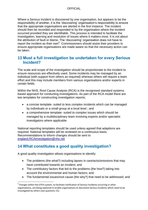Where a Serious Incident is discovered by one organisation, but appears to be the responsibility of another, it is the 'discovering' organisation's responsibility to ensure that the appropriate organisations are alerted in the first instance. The incident should then be recorded and responded to by the organisation where the incident occurred provided they are identifiable. This process is intended to facilitate the investigation, learning and resolution of issues where it matters most. It is not about the attribution of fault or blame. The 'discovering' organisation does not have to report the incident as their own<sup>5</sup>. Commissioners should assist their providers to ensure appropriate organisations are made aware so that the necessary action can be taken.

# <span id="page-10-0"></span>**13 Must a full investigation be undertaken for every Serious Incident?**

The scale and scope of the investigation should be proportionate to the incident to ensure resources are effectively used. Some incidents may be managed by an individual (with support from others as required) whereas others will require a team effort and this may include members from various organisations and/or experts in certain fields.

Within the NHS, Root Cause Analysis (RCA) is the recognised standard systems based approach for conducting investigations. As part of the RCA model there are two templates for constructing investigation reports;

- a concise template- suited to less complex incidents which can be managed by individuals or a small group at a local level ; and
- a comprehensive template- suited to complex issues which should be managed by a multidisciplinary team involving experts and/or specialist investigators where applicable

National reporting templates should be used unless agreed that adaptions are required. National templates will be reviewed on a continuous basis. Recommendations to inform changes should be sent to [england.RCAinvestigation@nhs.net](mailto:england.RCAinvestigation@nhs.net)

# <span id="page-10-1"></span>**14 What constitutes a good quality investigation?**

A good quality investigation allows organisations to identify:

- The problems (the what?) including lapses in care/acts/omissions that may have contributed towards an incident; and
- The contributory factors that led to the problems (the how?) taking into account the environmental and human factors; and
- The fundamental issues/root cause (the why?) that need to be addressed; and

<sup>&</sup>lt;sup>5</sup> Changes within the STEIS system, to facilitate notification of Serious Incidents occurring in other organisations, are being explored to enable organisations to document Serious Incidents which need to be investigated by others (see questions 15).